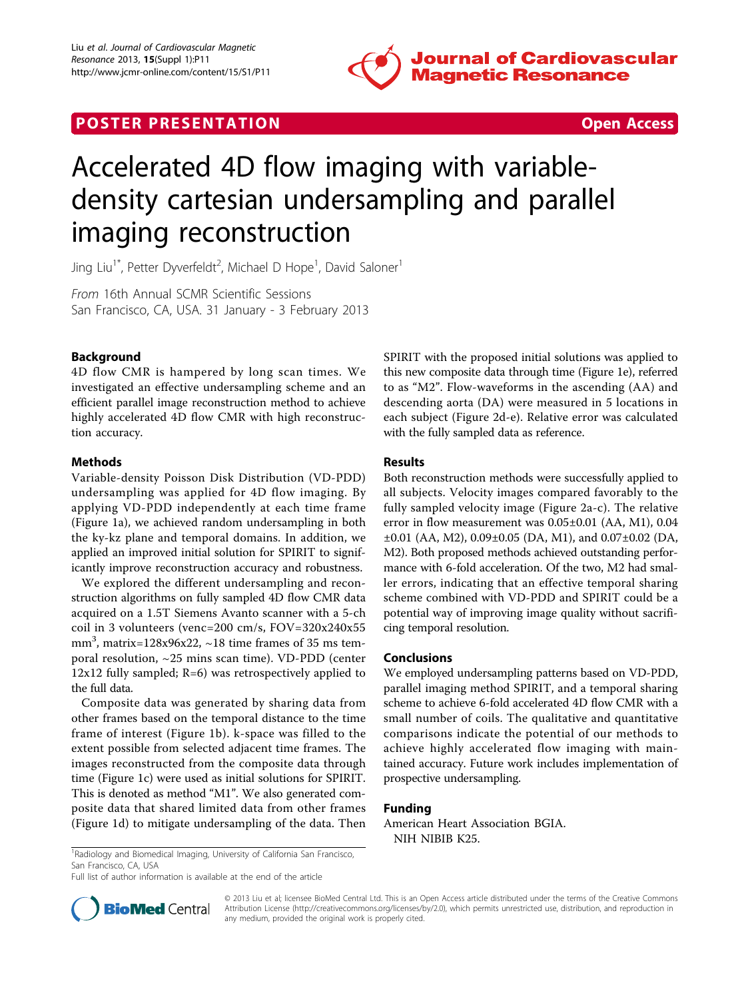

# **POSTER PRESENTATION CONSUMING THE SECOND CONSUMING THE SECOND CONSUMING THE SECOND CONSUMING THE SECOND CONSUMING THE SECOND CONSUMING THE SECOND CONSUMING THE SECOND CONSUMING THE SECOND CONSUMING THE SECOND CONSUMING**



# Accelerated 4D flow imaging with variabledensity cartesian undersampling and parallel imaging reconstruction

Jing Liu<sup>1\*</sup>, Petter Dyverfeldt<sup>2</sup>, Michael D Hope<sup>1</sup>, David Saloner<sup>1</sup>

From 16th Annual SCMR Scientific Sessions San Francisco, CA, USA. 31 January - 3 February 2013

# Background

4D flow CMR is hampered by long scan times. We investigated an effective undersampling scheme and an efficient parallel image reconstruction method to achieve highly accelerated 4D flow CMR with high reconstruction accuracy.

## Methods

Variable-density Poisson Disk Distribution (VD-PDD) undersampling was applied for 4D flow imaging. By applying VD-PDD independently at each time frame (Figure [1a](#page-1-0)), we achieved random undersampling in both the ky-kz plane and temporal domains. In addition, we applied an improved initial solution for SPIRIT to significantly improve reconstruction accuracy and robustness.

We explored the different undersampling and reconstruction algorithms on fully sampled 4D flow CMR data acquired on a 1.5T Siemens Avanto scanner with a 5-ch coil in 3 volunteers (venc=200 cm/s, FOV=320x240x55 mm<sup>3</sup>, matrix=128x96x22,  $\sim$ 18 time frames of 35 ms temporal resolution, ~25 mins scan time). VD-PDD (center  $12x12$  fully sampled; R=6) was retrospectively applied to the full data.

Composite data was generated by sharing data from other frames based on the temporal distance to the time frame of interest (Figure [1b\)](#page-1-0). k-space was filled to the extent possible from selected adjacent time frames. The images reconstructed from the composite data through time (Figure [1c\)](#page-1-0) were used as initial solutions for SPIRIT. This is denoted as method "M1". We also generated composite data that shared limited data from other frames (Figure [1d](#page-1-0)) to mitigate undersampling of the data. Then SPIRIT with the proposed initial solutions was applied to this new composite data through time (Figure [1e](#page-1-0)), referred to as "M2". Flow-waveforms in the ascending (AA) and descending aorta (DA) were measured in 5 locations in each subject (Figure [2d-e](#page-1-0)). Relative error was calculated with the fully sampled data as reference.

# Results

Both reconstruction methods were successfully applied to all subjects. Velocity images compared favorably to the fully sampled velocity image (Figure [2a-c](#page-1-0)). The relative error in flow measurement was 0.05±0.01 (AA, M1), 0.04 ±0.01 (AA, M2), 0.09±0.05 (DA, M1), and 0.07±0.02 (DA, M2). Both proposed methods achieved outstanding performance with 6-fold acceleration. Of the two, M2 had smaller errors, indicating that an effective temporal sharing scheme combined with VD-PDD and SPIRIT could be a potential way of improving image quality without sacrificing temporal resolution.

## Conclusions

We employed undersampling patterns based on VD-PDD, parallel imaging method SPIRIT, and a temporal sharing scheme to achieve 6-fold accelerated 4D flow CMR with a small number of coils. The qualitative and quantitative comparisons indicate the potential of our methods to achieve highly accelerated flow imaging with maintained accuracy. Future work includes implementation of prospective undersampling.

## Funding

American Heart Association BGIA. NIH NIBIB K25.

Full list of author information is available at the end of the article



© 2013 Liu et al; licensee BioMed Central Ltd. This is an Open Access article distributed under the terms of the Creative Commons Attribution License [\(http://creativecommons.org/licenses/by/2.0](http://creativecommons.org/licenses/by/2.0)), which permits unrestricted use, distribution, and reproduction in any medium, provided the original work is properly cited.

<sup>&</sup>lt;sup>1</sup> Radiology and Biomedical Imaging, University of California San Francisco, San Francisco, CA, USA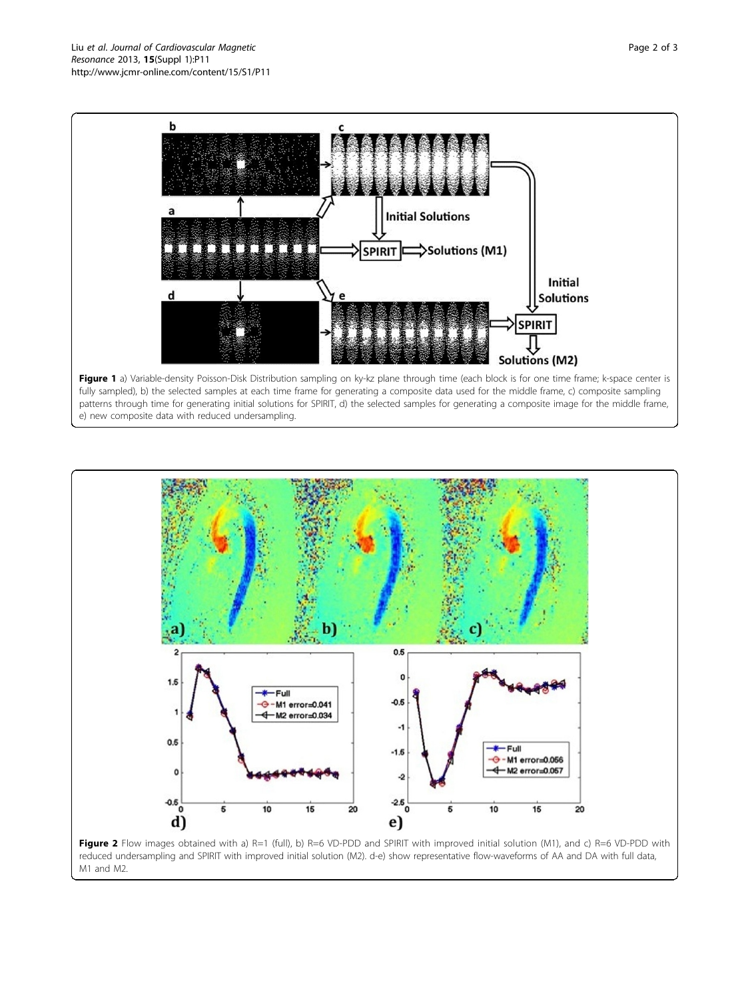<span id="page-1-0"></span>